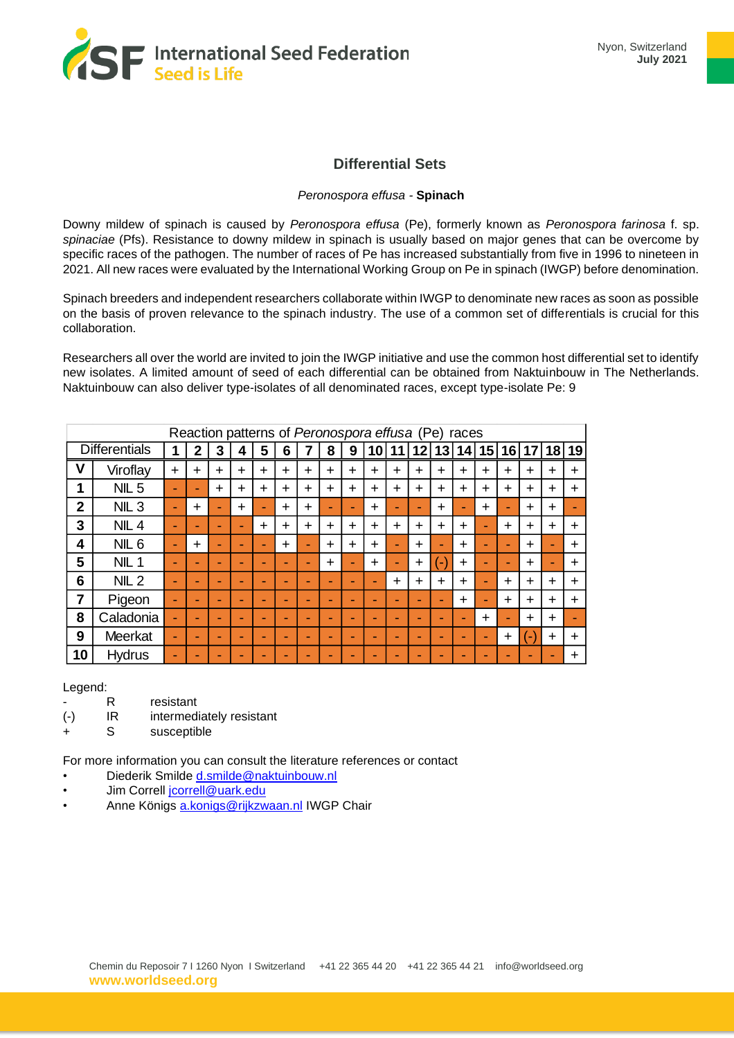

## **Differential Sets**

## *Peronospora effusa -* **Spinach**

Downy mildew of spinach is caused by *Peronospora effusa* (Pe), formerly known as *Peronospora farinosa* f. sp. *spinaciae* (Pfs). Resistance to downy mildew in spinach is usually based on major genes that can be overcome by specific races of the pathogen. The number of races of Pe has increased substantially from five in 1996 to nineteen in 2021. All new races were evaluated by the International Working Group on Pe in spinach (IWGP) before denomination.

Spinach breeders and independent researchers collaborate within IWGP to denominate new races as soon as possible on the basis of proven relevance to the spinach industry. The use of a common set of differentials is crucial for this collaboration.

Researchers all over the world are invited to join the IWGP initiative and use the common host differential set to identify new isolates. A limited amount of seed of each differential can be obtained from Naktuinbouw in The Netherlands. Naktuinbouw can also deliver type-isolates of all denominated races, except type-isolate Pe: 9

| Reaction patterns of Peronospora effusa (Pe) races |                  |           |              |           |           |           |           |           |           |           |           |                          |           |           |           |           |           |           |           |           |
|----------------------------------------------------|------------------|-----------|--------------|-----------|-----------|-----------|-----------|-----------|-----------|-----------|-----------|--------------------------|-----------|-----------|-----------|-----------|-----------|-----------|-----------|-----------|
| <b>Differentials</b>                               |                  |           | $\mathbf{2}$ | 3         | 4         | 5         | 6         |           | 8         | 9         |           | 10 11                    | 12        | 13        | 14        | 15        | 16        | 17        | 18        | 19        |
| ٧                                                  | Viroflay         | $\ddot{}$ | $\ddot{}$    | $\ddot{}$ | $\ddot{}$ | $\ddot{}$ | $\ddot{}$ | $\ddot{}$ | $\ddot{}$ | $\ddot{}$ | $\ddot{}$ | $\ddot{}$                | $\ddot{}$ | $\ddot{}$ | $\ddot{}$ | $\ddot{}$ | $\ddot{}$ | $\ddot{}$ | $\div$    | $+$       |
| 1                                                  | NIL <sub>5</sub> | ۰         |              | $\ddot{}$ | $\div$    | $\div$    | $\ddot{}$ | $\div$    | $\div$    | $\ddot{}$ | $\div$    | ÷                        | $\div$    | $\div$    | $\ddot{}$ | $\div$    | ÷         | $\div$    | $\div$    | $\ddot{}$ |
| $\overline{2}$                                     | NIL <sub>3</sub> | -         | $\ddot{}$    | ÷         | $\ddot{}$ | ۰         | $\div$    | $\ddot{}$ | ۰         |           | $\ddot{}$ |                          | -         | $\ddot{}$ | ÷         | $\ddot{}$ | -         | $\div$    | $\div$    |           |
| 3                                                  | $NIL$ 4          | -         | -            | -         | -         | $\ddot{}$ | ┿         | $\div$    | $\div$    | $\ddot{}$ | $\ddot{}$ | $\div$                   | $\ddot{}$ | $\ddot{}$ | $\div$    | ۰         | $\ddot{}$ | $\ddot{}$ | $\div$    | $\ddot{}$ |
| 4                                                  | NIL <sub>6</sub> | -         | $\div$       | -         | -         | ۰         | $\div$    | ۰         | $\div$    | $\div$    | $\div$    |                          | $\div$    | -         | $\div$    |           | -         | $\div$    |           | $\div$    |
| 5                                                  | NIL <sub>1</sub> |           |              | -         | -         |           | -         |           | $\ddot{}$ |           | $\ddot{}$ |                          | $\ddot{}$ | ш         | $\ddot{}$ |           |           | $\ddot{}$ |           | $\ddot{}$ |
| 6                                                  | $NIL$ 2          | -         |              | -         | -         |           | -         | -         | -         |           | ۰         | $\ddot{}$                | $\ddot{}$ | $\ddot{}$ | $\div$    |           | ÷         | $\div$    | $\div$    | $\ddot{}$ |
| 7                                                  | Pigeon           | -         |              | -         | -         |           | -         | -         | -         |           | -         | $\overline{\phantom{0}}$ | ۰         |           | $\div$    | ۰         | $\ddot{}$ | $\div$    | $\div$    | $\ddot{}$ |
| 8                                                  | Caladonia        | -         |              | -         | -         |           | -         |           | ۰.        |           | -         | ۰                        | ٠         |           | -         | $\ddot{}$ | -         | $\div$    | $\div$    |           |
| 9                                                  | Meerkat          | -         |              | -         | ۰         |           | ٠         |           | ۰         | -         | -         | ۰                        | -         |           | -         | ۰.        | $\ddot{}$ | ۰         | $\ddot{}$ | $\ddot{}$ |
| 10                                                 | <b>Hydrus</b>    |           |              | -         |           | -         |           |           |           |           | -         |                          | ۰         |           |           | -         |           | -         |           | $\ddot{}$ |

Legend:

- R resistant
- (-) IR intermediately resistant
- S susceptible

For more information you can consult the literature references or contact

- Diederik Smilde [d.smilde@naktuinbouw.nl](mailto:d.smilde@naktuinbouw.nl)
- Jim Correll [jcorrell@uark.edu](mailto:jcorrell@uark.edu)
- Anne Königs [a.konigs@rijkzwaan.nl](mailto:a.konigs@rijkzwaan.nl) IWGP Chair